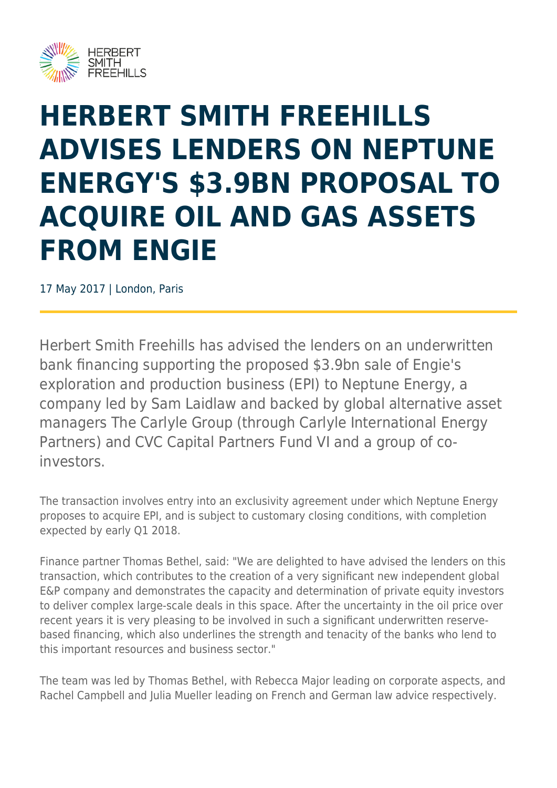

## **HERBERT SMITH FREEHILLS ADVISES LENDERS ON NEPTUNE ENERGY'S \$3.9BN PROPOSAL TO ACQUIRE OIL AND GAS ASSETS FROM ENGIE**

17 May 2017 | London, Paris

Herbert Smith Freehills has advised the lenders on an underwritten bank financing supporting the proposed \$3.9bn sale of Engie's exploration and production business (EPI) to Neptune Energy, a company led by Sam Laidlaw and backed by global alternative asset managers The Carlyle Group (through Carlyle International Energy Partners) and CVC Capital Partners Fund VI and a group of coinvestors.

The transaction involves entry into an exclusivity agreement under which Neptune Energy proposes to acquire EPI, and is subject to customary closing conditions, with completion expected by early Q1 2018.

Finance partner Thomas Bethel, said: "We are delighted to have advised the lenders on this transaction, which contributes to the creation of a very significant new independent global E&P company and demonstrates the capacity and determination of private equity investors to deliver complex large-scale deals in this space. After the uncertainty in the oil price over recent years it is very pleasing to be involved in such a significant underwritten reservebased financing, which also underlines the strength and tenacity of the banks who lend to this important resources and business sector."

The team was led by Thomas Bethel, with Rebecca Major leading on corporate aspects, and Rachel Campbell and Julia Mueller leading on French and German law advice respectively.